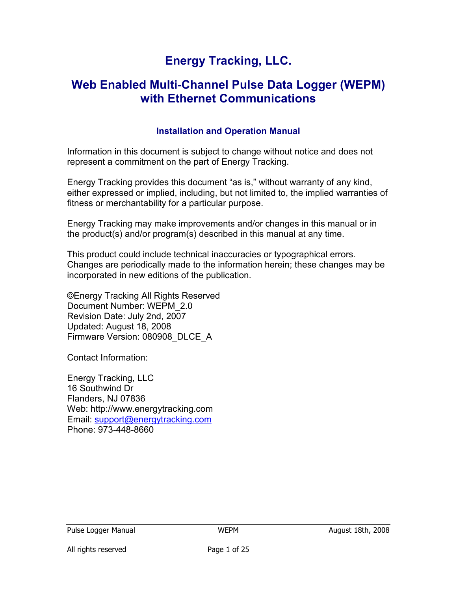# Energy Tracking, LLC.

# Web Enabled Multi-Channel Pulse Data Logger (WEPM) with Ethernet Communications

### Installation and Operation Manual

Information in this document is subject to change without notice and does not represent a commitment on the part of Energy Tracking.

Energy Tracking provides this document "as is," without warranty of any kind, either expressed or implied, including, but not limited to, the implied warranties of fitness or merchantability for a particular purpose.

Energy Tracking may make improvements and/or changes in this manual or in the product(s) and/or program(s) described in this manual at any time.

This product could include technical inaccuracies or typographical errors. Changes are periodically made to the information herein; these changes may be incorporated in new editions of the publication.

©Energy Tracking All Rights Reserved Document Number: WEPM\_2.0 Revision Date: July 2nd, 2007 Updated: August 18, 2008 Firmware Version: 080908\_DLCE\_A

Contact Information:

Energy Tracking, LLC 16 Southwind Dr Flanders, NJ 07836 Web: http://www.energytracking.com Email: support@energytracking.com Phone: 973-448-8660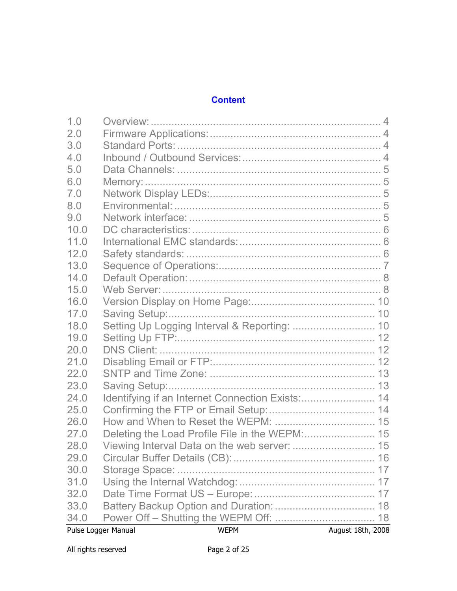## **Content**

|      | Pulse Logger Manual | <b>WEPM</b> | August 18th, 2008 |
|------|---------------------|-------------|-------------------|
| 34.0 |                     |             |                   |
| 33.0 |                     |             |                   |
| 32.0 |                     |             |                   |
| 31.0 |                     |             |                   |
| 30.0 |                     |             |                   |
| 29.0 |                     |             |                   |
| 28.0 |                     |             |                   |
| 27.0 |                     |             |                   |
| 26.0 |                     |             |                   |
| 25.0 |                     |             |                   |
| 24.0 |                     |             |                   |
| 23.0 |                     |             |                   |
| 22.0 |                     |             |                   |
| 21.0 |                     |             |                   |
| 20.0 |                     |             |                   |
| 19.0 |                     |             |                   |
| 18.0 |                     |             |                   |
| 17.0 |                     |             |                   |
| 16.0 |                     |             |                   |
| 15.0 |                     |             |                   |
| 14.0 |                     |             |                   |
| 13.0 |                     |             |                   |
| 12.0 |                     |             |                   |
| 11.0 |                     |             |                   |
| 10.0 |                     |             |                   |
| 9.0  |                     |             |                   |
| 8.0  |                     |             |                   |
| 7.0  |                     |             |                   |
| 6.0  |                     |             |                   |
| 5.0  |                     |             |                   |
| 4.0  |                     |             |                   |
| 3.0  |                     |             |                   |
| 2.0  |                     |             |                   |
| 1.0  |                     |             |                   |
|      |                     |             |                   |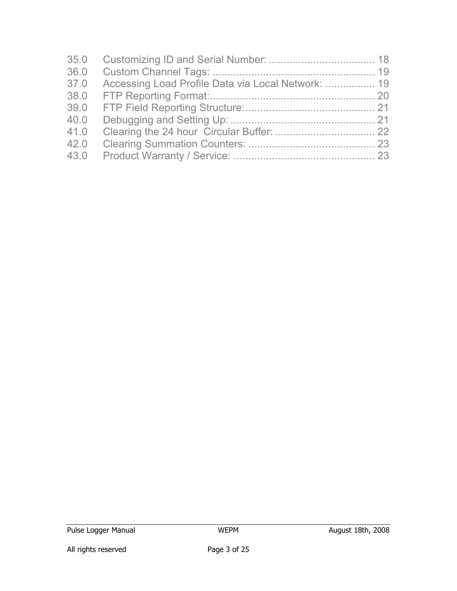| 35.0<br>36.0<br>37.0 | Accessing Load Profile Data via Local Network:  19 |  |
|----------------------|----------------------------------------------------|--|
| 38.0                 |                                                    |  |
| 39.0                 |                                                    |  |
| 40.0                 |                                                    |  |
| 41.0                 |                                                    |  |
| 42.0                 |                                                    |  |
| 43.0                 |                                                    |  |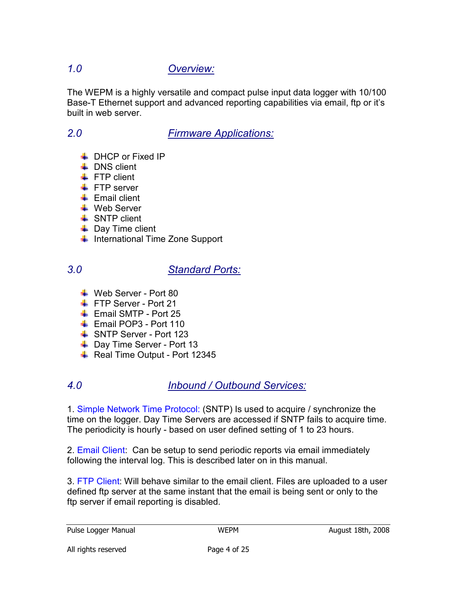# 1.0 Overview:

The WEPM is a highly versatile and compact pulse input data logger with 10/100 Base-T Ethernet support and advanced reporting capabilities via email, ftp or it's built in web server.

## 2.0 Firmware Applications:

- **DHCP or Fixed IP**
- $\downarrow$  DNS client
- $\div$  FTP client
- $\leftarrow$  FTP server
- $\leftarrow$  Email client
- Web Server
- $\downarrow$  SNTP client
- $\downarrow$  Day Time client
- $\downarrow$  International Time Zone Support

## 3.0 Standard Ports:

- Web Server Port 80
- FTP Server Port 21
- $\overline{\phantom{a}+}$  Email SMTP Port 25
- **Email POP3 Port 110**
- SNTP Server Port 123
- **↓** Day Time Server Port 13
- $\overline{\phantom{a}+}$  Real Time Output Port 12345

# 4.0 Inbound / Outbound Services:

1. Simple Network Time Protocol: (SNTP) Is used to acquire / synchronize the time on the logger. Day Time Servers are accessed if SNTP fails to acquire time. The periodicity is hourly - based on user defined setting of 1 to 23 hours.

2. Email Client: Can be setup to send periodic reports via email immediately following the interval log. This is described later on in this manual.

3. FTP Client: Will behave similar to the email client. Files are uploaded to a user defined ftp server at the same instant that the email is being sent or only to the ftp server if email reporting is disabled.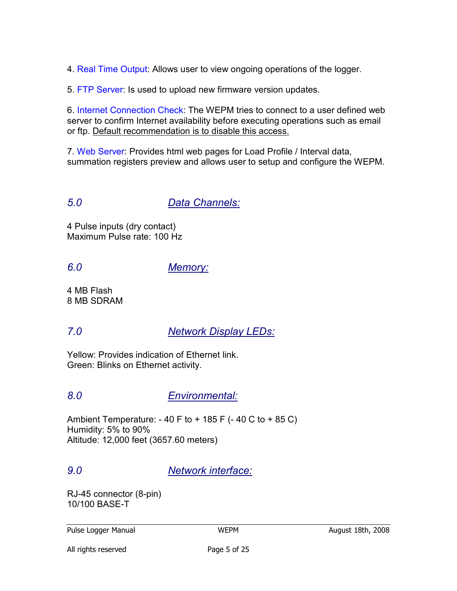4. Real Time Output: Allows user to view ongoing operations of the logger.

5. FTP Server: Is used to upload new firmware version updates.

6. Internet Connection Check: The WEPM tries to connect to a user defined web server to confirm Internet availability before executing operations such as email or ftp. Default recommendation is to disable this access.

7. Web Server: Provides html web pages for Load Profile / Interval data, summation registers preview and allows user to setup and configure the WEPM.

5.0 Data Channels:

4 Pulse inputs (dry contact) Maximum Pulse rate: 100 Hz

## 6.0 Memory:

4 MB Flash 8 MB SDRAM

## 7.0 Network Display LEDs:

Yellow: Provides indication of Ethernet link. Green: Blinks on Ethernet activity.

## 8.0 Environmental:

Ambient Temperature:  $-40$  F to  $+185$  F ( $-40$  C to  $+85$  C) Humidity: 5% to 90% Altitude: 12,000 feet (3657.60 meters)

## 9.0 Network interface:

RJ-45 connector (8-pin) 10/100 BASE-T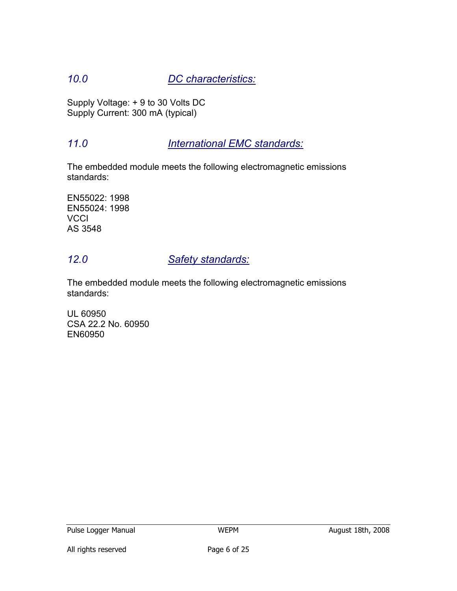# 10.0 DC characteristics:

Supply Voltage: + 9 to 30 Volts DC Supply Current: 300 mA (typical)

## 11.0 **International EMC standards:**

The embedded module meets the following electromagnetic emissions standards:

EN55022: 1998 EN55024: 1998 **VCCI** AS 3548

## 12.0 Safety standards:

The embedded module meets the following electromagnetic emissions standards:

UL 60950 CSA 22.2 No. 60950 EN60950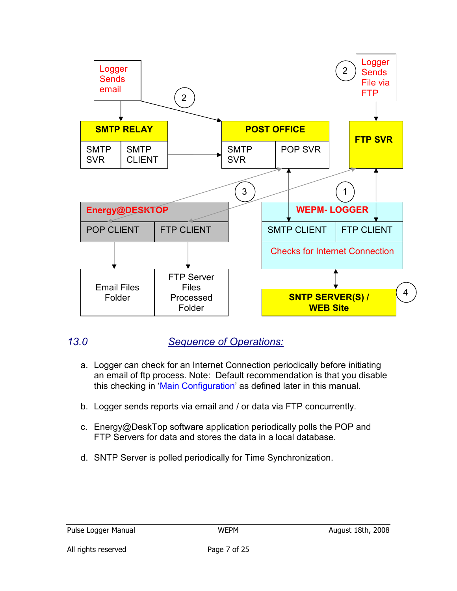

## 13.0 Sequence of Operations:

- a. Logger can check for an Internet Connection periodically before initiating an email of ftp process. Note: Default recommendation is that you disable this checking in 'Main Configuration' as defined later in this manual.
- b. Logger sends reports via email and / or data via FTP concurrently.
- c. Energy@DeskTop software application periodically polls the POP and FTP Servers for data and stores the data in a local database.
- d. SNTP Server is polled periodically for Time Synchronization.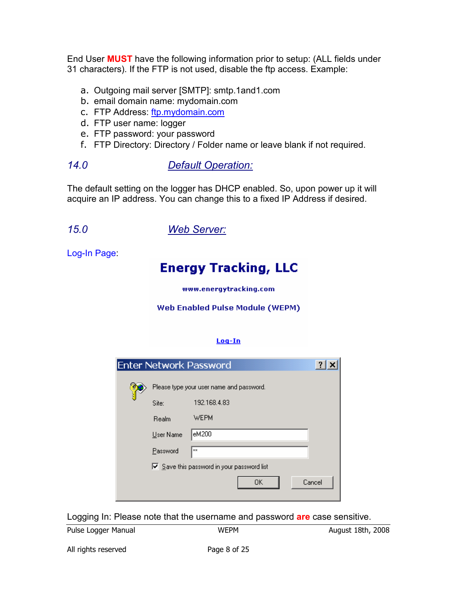End User MUST have the following information prior to setup: (ALL fields under 31 characters). If the FTP is not used, disable the ftp access. Example:

- a. Outgoing mail server [SMTP]: smtp.1and1.com
- b. email domain name: mydomain.com
- c. FTP Address: ftp.mydomain.com
- d. FTP user name: logger
- e. FTP password: your password
- f. FTP Directory: Directory / Folder name or leave blank if not required.
- 14.0 Default Operation:

The default setting on the logger has DHCP enabled. So, upon power up it will acquire an IP address. You can change this to a fixed IP Address if desired.

15.0 Web Server:

Log-In Page:

# **Energy Tracking, LLC**

www.energytracking.com

#### Web Enabled Pulse Module (WEPM)

#### $Loq-In$

|           | $\overline{?}$<br><b>Enter Network Password</b>           |
|-----------|-----------------------------------------------------------|
|           | Please type your user name and password.                  |
| Site:     | 192.168.4.83                                              |
| Realm     | <b>WEPM</b>                                               |
| User Name | eM200                                                     |
| Password  | ××                                                        |
|           | $\triangleright$ Save this password in your password list |
|           | Cancel<br>OΚ                                              |

Logging In: Please note that the username and password are case sensitive.

Pulse Logger Manual **August 18th, 2008** WEPM MEPM August 18th, 2008

All rights reserved **Page 8 of 25**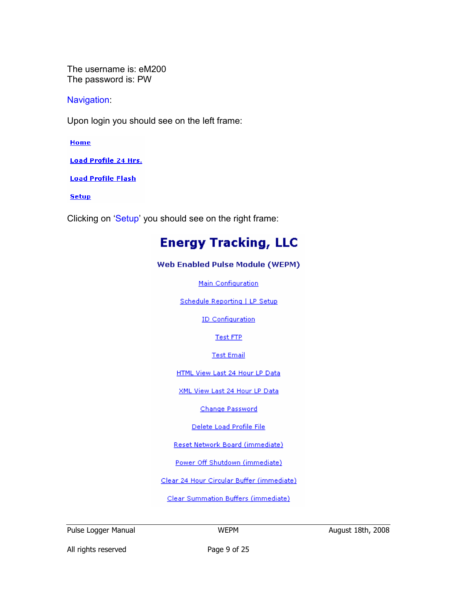The username is: eM200 The password is: PW

**Navigation** 

Upon login you should see on the left frame:

Home

**Load Profile 24 Hrs.** 

**Load Profile Flash** 

**Setup** 

Clicking on 'Setup' you should see on the right frame:

# **Energy Tracking, LLC**

#### Web Enabled Pulse Module (WEPM)

Main Configuration

Schedule Reporting | LP Setup

**ID Configuration** 

**Test FTP** 

**Test Email** 

HTML View Last 24 Hour LP Data

XML View Last 24 Hour LP Data

Change Password

Delete Load Profile File

Reset Network Board (immediate)

Power Off Shutdown (immediate)

Clear 24 Hour Circular Buffer (immediate)

Clear Summation Buffers (immediate)

Pulse Logger Manual WEPM WEPM August 18th, 2008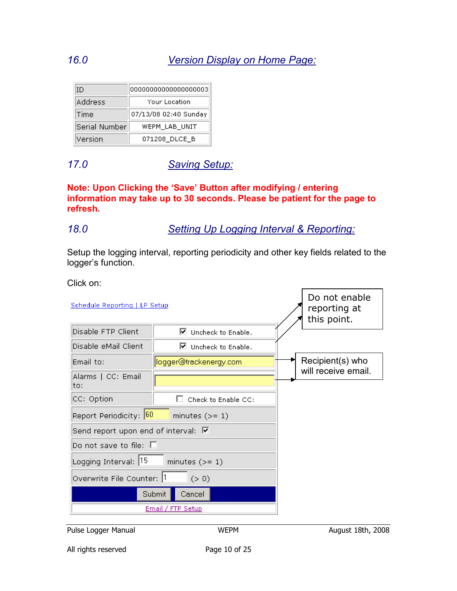| ΙD            | 00000000000000000003  |  |
|---------------|-----------------------|--|
| Address       | Your Location         |  |
| Time          | 07/13/08 02:40 Sunday |  |
| Serial Number | WEPM LAB UNIT         |  |
| Version       | 071208 DLCE B         |  |

## 17.0 Saving Setup:

Note: Upon Clicking the 'Save' Button after modifying / entering information may take up to 30 seconds. Please be patient for the page to refresh.

## 18.0 Setting Up Logging Interval & Reporting:

Setup the logging interval, reporting periodicity and other key fields related to the logger's function.

Click on:

| Schedule Reporting   LP Setup              |                                | Do not enable<br>reporting at<br>this point. |  |
|--------------------------------------------|--------------------------------|----------------------------------------------|--|
| Disable FTP Client                         | $\boxtimes$ Uncheck to Enable. |                                              |  |
| Disable eMail Client                       | $\boxtimes$ Uncheck to Enable. |                                              |  |
| Email to:                                  | logger@trackenergy.com         |                                              |  |
| Alarms   CC: Email<br>to:                  |                                | will receive email.                          |  |
| CC: Option                                 | Check to Enable CC:            |                                              |  |
| Report Periodicity: 60                     |                                |                                              |  |
| Send report upon end of interval: $\nabla$ |                                |                                              |  |
| Do not save to file: $\square$             |                                |                                              |  |
| Logging Interval: 15                       |                                |                                              |  |
| Overwrite File Counter: 1                  |                                |                                              |  |
| Submit                                     |                                |                                              |  |
| Email / FTP Setup                          |                                |                                              |  |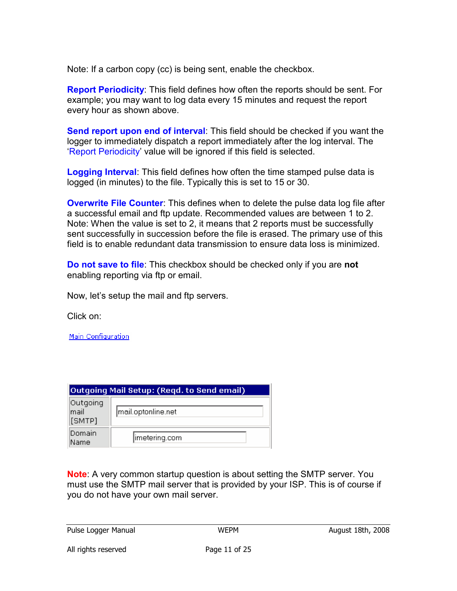Note: If a carbon copy (cc) is being sent, enable the checkbox.

**Report Periodicity:** This field defines how often the reports should be sent. For example; you may want to log data every 15 minutes and request the report every hour as shown above.

Send report upon end of interval: This field should be checked if you want the logger to immediately dispatch a report immediately after the log interval. The 'Report Periodicity' value will be ignored if this field is selected.

**Logging Interval:** This field defines how often the time stamped pulse data is logged (in minutes) to the file. Typically this is set to 15 or 30.

**Overwrite File Counter**: This defines when to delete the pulse data log file after a successful email and ftp update. Recommended values are between 1 to 2. Note: When the value is set to 2, it means that 2 reports must be successfully sent successfully in succession before the file is erased. The primary use of this field is to enable redundant data transmission to ensure data loss is minimized.

Do not save to file: This checkbox should be checked only if you are not enabling reporting via ftp or email.

Now, let's setup the mail and ftp servers.

Click on:

Main Configuration

| Outgoing Mail Setup: (Regd. to Send email) |                    |  |  |
|--------------------------------------------|--------------------|--|--|
| Outgoing<br>lmail<br>[SMTP]                | mail.optonline.net |  |  |
| Domain<br>Name                             | imetering.com      |  |  |

**Note:** A very common startup question is about setting the SMTP server. You must use the SMTP mail server that is provided by your ISP. This is of course if you do not have your own mail server.

Pulse Logger Manual **August 18th, 2008** WEPM **August 18th, 2008**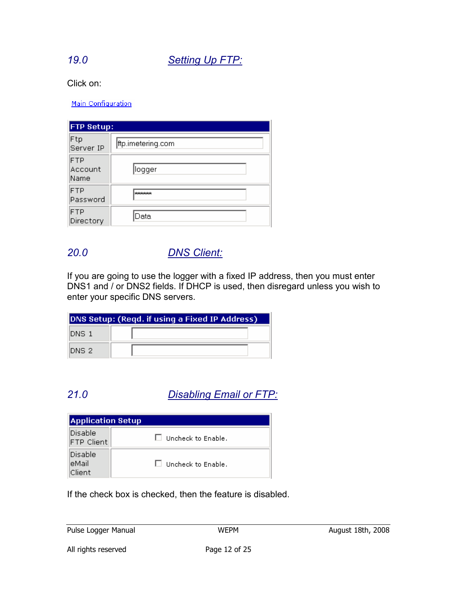## 19.0 Setting Up FTP:

Click on:

Main Configuration

| <b>FTP Setup:</b>      |                   |  |  |  |
|------------------------|-------------------|--|--|--|
| Ftp<br>Server IP       | ftp.imetering.com |  |  |  |
| FTP<br>Account<br>Name | llogger           |  |  |  |
| FTP<br>Password        | <b>Scholakok</b>  |  |  |  |
| FTP<br>Directory       | Data              |  |  |  |

## 20.0 DNS Client:

If you are going to use the logger with a fixed IP address, then you must enter DNS1 and / or DNS2 fields. If DHCP is used, then disregard unless you wish to enter your specific DNS servers.

| DNS Setup: (Regd. if using a Fixed IP Address) |  |  |  |  |
|------------------------------------------------|--|--|--|--|
| IDNS 1                                         |  |  |  |  |
| IDNS 21                                        |  |  |  |  |

# 21.0 Disabling Email or FTP:

| <b>Application Setup</b>      |                           |  |  |
|-------------------------------|---------------------------|--|--|
| Disable<br><b>FTP Client</b>  | Uncheck to Enable.        |  |  |
| Disable<br>leMail<br>lClient. | $\Box$ Uncheck to Enable. |  |  |

If the check box is checked, then the feature is disabled.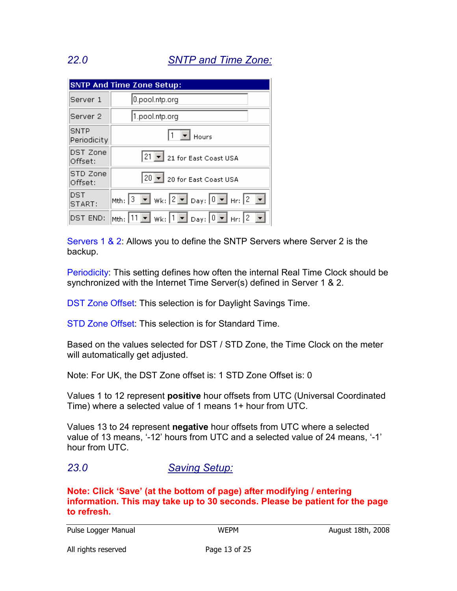# 22.0 SNTP and Time Zone:

| <b>SNTP And Time Zone Setup:</b> |                                                                                                                                |  |  |  |
|----------------------------------|--------------------------------------------------------------------------------------------------------------------------------|--|--|--|
| Server 1                         | $[0.$ pool.ntp.org                                                                                                             |  |  |  |
| Server <sub>2</sub>              | 1.pool.ntp.org                                                                                                                 |  |  |  |
| SNTP<br>Periodicity              | $1 \nightharpoonup$ Hours                                                                                                      |  |  |  |
| DST Zone<br>Offset:              | 21   21 for East Coast USA                                                                                                     |  |  |  |
| STD Zone<br>Offset:              | 20  v 20 for East Coast USA                                                                                                    |  |  |  |
| DST<br>START:                    | Mth: $3 \nabla$ Wk: $2 \nabla$ Day: $0 \nabla$ Hr: $2 \nabla$                                                                  |  |  |  |
| DST END:                         | Mth: $\boxed{11}$ $\blacksquare$ Wk: $\boxed{1}$ $\blacksquare$ Day: $\boxed{0}$ $\blacksquare$ Hr: $\boxed{2}$ $\blacksquare$ |  |  |  |

Servers 1 & 2: Allows you to define the SNTP Servers where Server 2 is the backup.

Periodicity: This setting defines how often the internal Real Time Clock should be synchronized with the Internet Time Server(s) defined in Server 1 & 2.

DST Zone Offset: This selection is for Daylight Savings Time.

STD Zone Offset: This selection is for Standard Time.

Based on the values selected for DST / STD Zone, the Time Clock on the meter will automatically get adjusted.

Note: For UK, the DST Zone offset is: 1 STD Zone Offset is: 0

Values 1 to 12 represent positive hour offsets from UTC (Universal Coordinated Time) where a selected value of 1 means 1+ hour from UTC.

Values 13 to 24 represent negative hour offsets from UTC where a selected value of 13 means, '-12' hours from UTC and a selected value of 24 means, '-1' hour from UTC.

## 23.0 Saving Setup:

Note: Click 'Save' (at the bottom of page) after modifying / entering information. This may take up to 30 seconds. Please be patient for the page to refresh.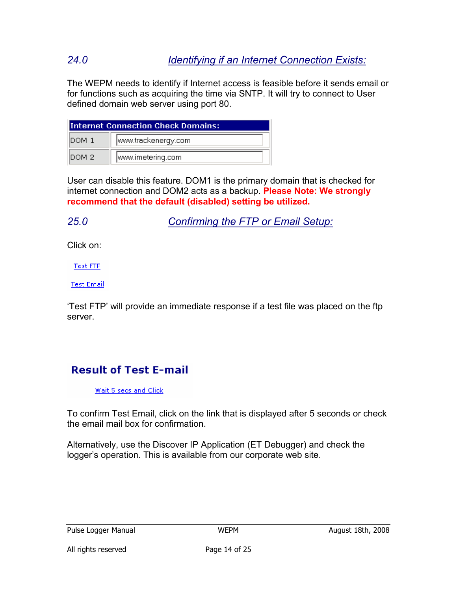# 24.0 Identifying if an Internet Connection Exists:

The WEPM needs to identify if Internet access is feasible before it sends email or for functions such as acquiring the time via SNTP. It will try to connect to User defined domain web server using port 80.

| <b>Internet Connection Check Domains:</b> |                   |  |  |  |
|-------------------------------------------|-------------------|--|--|--|
| www.trackenergy.com<br>IDOM 1             |                   |  |  |  |
| DOM 2                                     | www.imetering.com |  |  |  |

User can disable this feature. DOM1 is the primary domain that is checked for internet connection and DOM2 acts as a backup. Please Note: We strongly recommend that the default (disabled) setting be utilized.

25.0 Confirming the FTP or Email Setup:

Click on:

Test FTP

**Test Email** 

'Test FTP' will provide an immediate response if a test file was placed on the ftp server.

# **Result of Test E-mail**

Wait 5 secs and Click

To confirm Test Email, click on the link that is displayed after 5 seconds or check the email mail box for confirmation.

Alternatively, use the Discover IP Application (ET Debugger) and check the logger's operation. This is available from our corporate web site.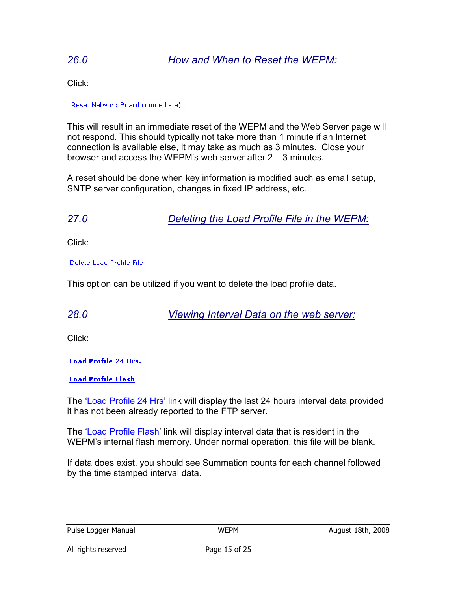## 26.0 How and When to Reset the WEPM:

Click:

#### Reset Network Board (immediate)

This will result in an immediate reset of the WEPM and the Web Server page will not respond. This should typically not take more than 1 minute if an Internet connection is available else, it may take as much as 3 minutes. Close your browser and access the WEPM's web server after 2 – 3 minutes.

A reset should be done when key information is modified such as email setup, SNTP server configuration, changes in fixed IP address, etc.

27.0 Deleting the Load Profile File in the WEPM:

Click:

Delete Load Profile File

This option can be utilized if you want to delete the load profile data.

28.0 Viewing Interval Data on the web server:

Click:

**Load Profile 24 Hrs.** 

**Load Profile Flash** 

The 'Load Profile 24 Hrs' link will display the last 24 hours interval data provided it has not been already reported to the FTP server.

The 'Load Profile Flash' link will display interval data that is resident in the WEPM's internal flash memory. Under normal operation, this file will be blank.

If data does exist, you should see Summation counts for each channel followed by the time stamped interval data.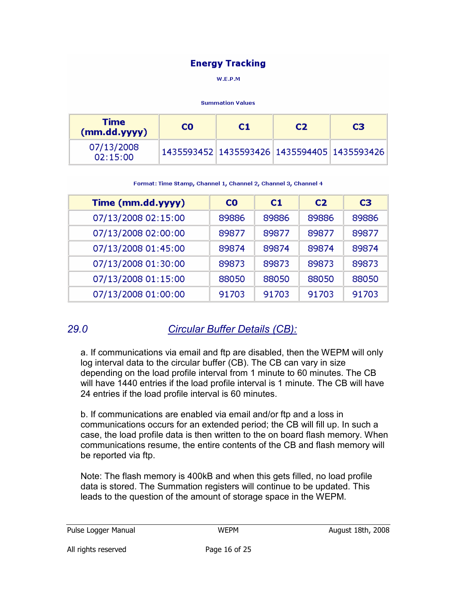## **Energy Tracking**

W.E.P.M

#### **Summation Values**

| Time<br>(mm.dd.yyy)    | C <sub>0</sub> | C1 | C <sub>2</sub> | C <sub>3</sub>                                    |
|------------------------|----------------|----|----------------|---------------------------------------------------|
| 07/13/2008<br>02:15:00 |                |    |                | 1435593452   1435593426   1435594405   1435593426 |

Format: Time Stamp, Channel 1, Channel 2, Channel 3, Channel 4

| Time (mm.dd.yyyy)   | CO.   | C1    | C <sub>2</sub> | C <sub>3</sub> |
|---------------------|-------|-------|----------------|----------------|
| 07/13/2008 02:15:00 | 89886 | 89886 | 89886          | 89886          |
| 07/13/2008 02:00:00 | 89877 | 89877 | 89877          | 89877          |
| 07/13/2008 01:45:00 | 89874 | 89874 | 89874          | 89874          |
| 07/13/2008 01:30:00 | 89873 | 89873 | 89873          | 89873          |
| 07/13/2008 01:15:00 | 88050 | 88050 | 88050          | 88050          |
| 07/13/2008 01:00:00 | 91703 | 91703 | 91703          | 91703          |

## 29.0 Circular Buffer Details (CB):

a. If communications via email and ftp are disabled, then the WEPM will only log interval data to the circular buffer (CB). The CB can vary in size depending on the load profile interval from 1 minute to 60 minutes. The CB will have 1440 entries if the load profile interval is 1 minute. The CB will have 24 entries if the load profile interval is 60 minutes.

b. If communications are enabled via email and/or ftp and a loss in communications occurs for an extended period; the CB will fill up. In such a case, the load profile data is then written to the on board flash memory. When communications resume, the entire contents of the CB and flash memory will be reported via ftp.

Note: The flash memory is 400kB and when this gets filled, no load profile data is stored. The Summation registers will continue to be updated. This leads to the question of the amount of storage space in the WEPM.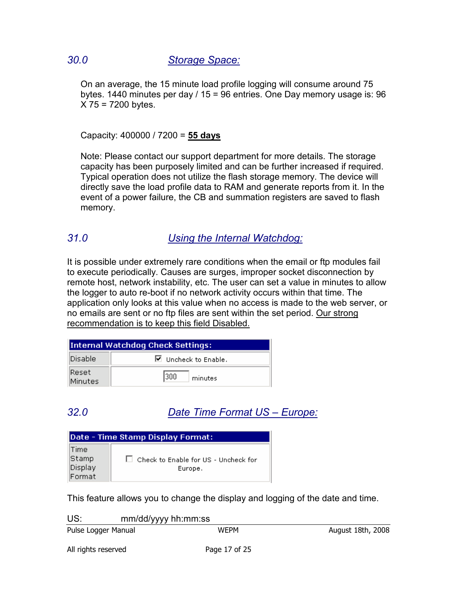## 30.0 Storage Space:

On an average, the 15 minute load profile logging will consume around 75 bytes. 1440 minutes per day / 15 = 96 entries. One Day memory usage is: 96  $X$  75 = 7200 bytes.

Capacity: 400000 / 7200 = 55 days

Note: Please contact our support department for more details. The storage capacity has been purposely limited and can be further increased if required. Typical operation does not utilize the flash storage memory. The device will directly save the load profile data to RAM and generate reports from it. In the event of a power failure, the CB and summation registers are saved to flash memory.

## 31.0 Using the Internal Watchdog:

It is possible under extremely rare conditions when the email or ftp modules fail to execute periodically. Causes are surges, improper socket disconnection by remote host, network instability, etc. The user can set a value in minutes to allow the logger to auto re-boot if no network activity occurs within that time. The application only looks at this value when no access is made to the web server, or no emails are sent or no ftp files are sent within the set period. Our strong recommendation is to keep this field Disabled.

| Internal Watchdog Check Settings: |                                |  |
|-----------------------------------|--------------------------------|--|
| Disable.                          | $\boxtimes$ Uncheck to Enable. |  |
| Reset:<br>Minutes                 | 300 <br>minutes                |  |

## 32.0 Date Time Format US – Europe:

| Date - Time Stamp Display Format: |                                                        |  |  |
|-----------------------------------|--------------------------------------------------------|--|--|
| Time<br>Stamp                     |                                                        |  |  |
| Display                           | $\Box$ Check to Enable for US - Uncheck for<br>Europe. |  |  |
| Format                            |                                                        |  |  |

This feature allows you to change the display and logging of the date and time.

| US:                 | mm/dd/yyyy hh:mm:ss |      |                   |  |
|---------------------|---------------------|------|-------------------|--|
| Pulse Logger Manual |                     | WEPM | August 18th, 2008 |  |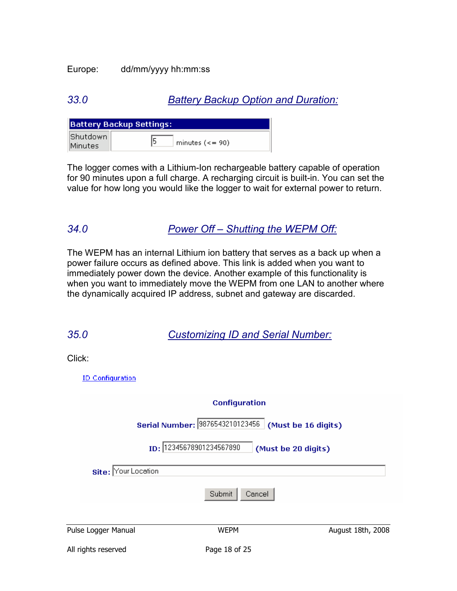### Europe: dd/mm/yyyy hh:mm:ss

## 33.0 **Battery Backup Option and Duration:**

|                | Battery Backup Settings:         |
|----------------|----------------------------------|
| Shutdown       | 15                               |
| <b>Minutes</b> | minutes $\left( \leq 90 \right)$ |

The logger comes with a Lithium-Ion rechargeable battery capable of operation for 90 minutes upon a full charge. A recharging circuit is built-in. You can set the value for how long you would like the logger to wait for external power to return.

## 34.0 Power Off – Shutting the WEPM Off:

The WEPM has an internal Lithium ion battery that serves as a back up when a power failure occurs as defined above. This link is added when you want to immediately power down the device. Another example of this functionality is when you want to immediately move the WEPM from one LAN to another where the dynamically acquired IP address, subnet and gateway are discarded.

| <b>Customizing ID and Serial Number:</b> |
|------------------------------------------|
|------------------------------------------|

Click:

**ID Configuration** 

|                     | <b>Configuration</b>            |                     |
|---------------------|---------------------------------|---------------------|
|                     | Serial Number: 9876543210123456 | (Must be 16 digits) |
|                     | ID: 12345678901234567890        | (Must be 20 digits) |
| Site: Your Location |                                 |                     |
|                     | Submit<br>Cancel                |                     |
| Pulse Logger Manual | <b>WEPM</b>                     | August 18th, 2008   |
| All rights reserved | Page 18 of 25                   |                     |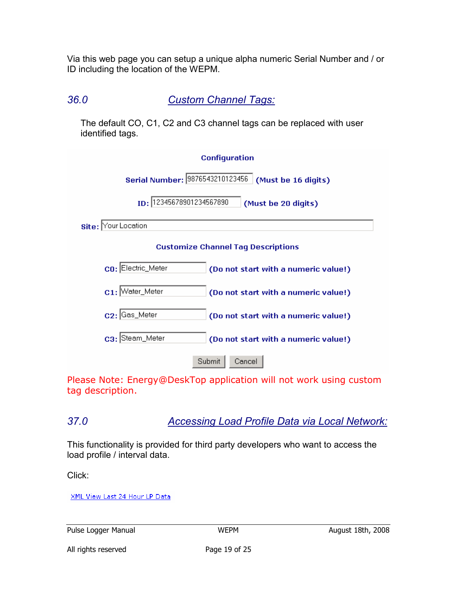Via this web page you can setup a unique alpha numeric Serial Number and / or ID including the location of the WEPM.

36.0 Custom Channel Tags:

The default CO, C1, C2 and C3 channel tags can be replaced with user identified tags.

| <b>Configuration</b>                                        |  |  |  |  |  |
|-------------------------------------------------------------|--|--|--|--|--|
| Serial Number: 9876543210123456<br>(Must be 16 digits)      |  |  |  |  |  |
| ID: 12345678901234567890<br>(Must be 20 digits)             |  |  |  |  |  |
| Site: Your Location                                         |  |  |  |  |  |
| <b>Customize Channel Tag Descriptions</b>                   |  |  |  |  |  |
| CO: Electric_Meter<br>(Do not start with a numeric value!)  |  |  |  |  |  |
| $c_1$ : Water_Meter<br>(Do not start with a numeric value!) |  |  |  |  |  |
| C2: Gas_Meter<br>(Do not start with a numeric value!)       |  |  |  |  |  |
| C3: Steam_Meter<br>(Do not start with a numeric value!)     |  |  |  |  |  |
| Submit<br>Cancel                                            |  |  |  |  |  |

Please Note: Energy@DeskTop application will not work using custom tag description.

37.0 Accessing Load Profile Data via Local Network:

This functionality is provided for third party developers who want to access the load profile / interval data.

Click:

XML View Last 24 Hour LP Data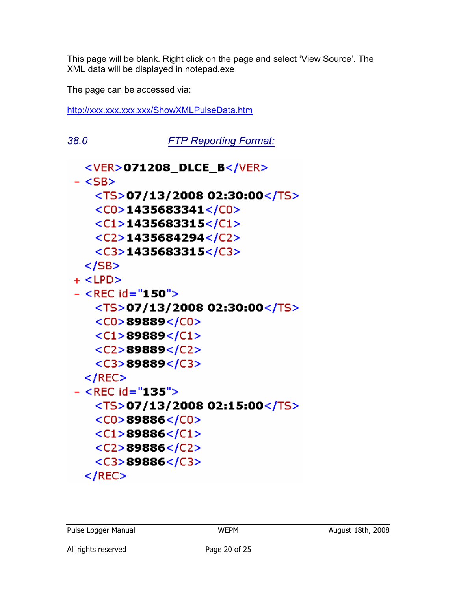This page will be blank. Right click on the page and select 'View Source'. The XML data will be displayed in notepad.exe

The page can be accessed via:

http://xxx.xxx.xxx.xxx/ShowXMLPulseData.htm

38.0 FTP Reporting Format:<VER>071208\_DLCE\_B</VER>  $-$  <SB $>$ <TS>07/13/2008 02:30:00</TS>  $<$ C0>1435683341</C0>  $<<1>1435683315/<(C1>$  $<$ C2>1435684294</C2>  $<$ C3>1435683315</C3>  $<$ /SB $>$  $+$  <LPD>  $-$  <REC id="150"> <TS>07/13/2008 02:30:00</TS>  $<$ C0>89889</C0>  $<$ C1>89889</C1>  $<$ C2>89889</C2>  $<$ C3>89889</C3>  $<$ /REC $>$  $-$  <REC id="135">  $<$ TS>07/13/2008 02:15:00</TS>  $<$ C0>89886</C0>  $<<1>$ 89886 $<$ /C1>  $<$ C2>89886</C2>  $<$ C3>89886</C3>  $\langle$ /REC $>$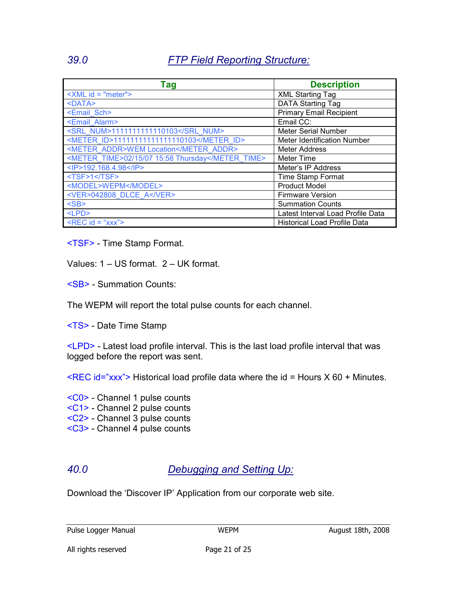## 39.0 FTP Field Reporting Structure:

| <b>Tag</b>                                        | <b>Description</b>                  |
|---------------------------------------------------|-------------------------------------|
| $\le$ XML id = "meter">                           | <b>XML Starting Tag</b>             |
| $<$ DATA $>$                                      | <b>DATA Starting Tag</b>            |
| <email sch=""></email>                            | <b>Primary Email Recipient</b>      |
| <email alarm=""></email>                          | Email CC:                           |
| <srl num="">1111111111110103</srl>                | <b>Meter Serial Number</b>          |
| <meter id="">11111111111111110103</meter>         | <b>Meter Identification Number</b>  |
| <meter addr="">WEM Location</meter>               | Meter Address                       |
| <meter time="">02/15/07 15:58 Thursday</meter>    | Meter Time                          |
| <ip>192.168.4.98</ip>                             | Meter's IP Address                  |
| <tsf>1</tsf>                                      | <b>Time Stamp Format</b>            |
| <model>WEPM</model>                               | <b>Product Model</b>                |
| <ver>042808 DLCE A</ver>                          | <b>Firmware Version</b>             |
| <sb< th=""><th><b>Summation Counts</b></th></sb<> | <b>Summation Counts</b>             |
| $<$ LPD $>$                                       | Latest Interval Load Profile Data   |
| $\triangle$ REC id = "xxx">                       | <b>Historical Load Profile Data</b> |

<TSF> - Time Stamp Format.

Values: 1 – US format. 2 – UK format.

<SB> - Summation Counts:

The WEPM will report the total pulse counts for each channel.

<TS> - Date Time Stamp

<LPD> - Latest load profile interval. This is the last load profile interval that was logged before the report was sent.

 $\leq$ REC id="xxx"> Historical load profile data where the id = Hours X 60 + Minutes.

<C0> - Channel 1 pulse counts

- <C1> Channel 2 pulse counts
- <C2> Channel 3 pulse counts
- <C3> Channel 4 pulse counts

## 40.0 Debugging and Setting Up:

Download the 'Discover IP' Application from our corporate web site.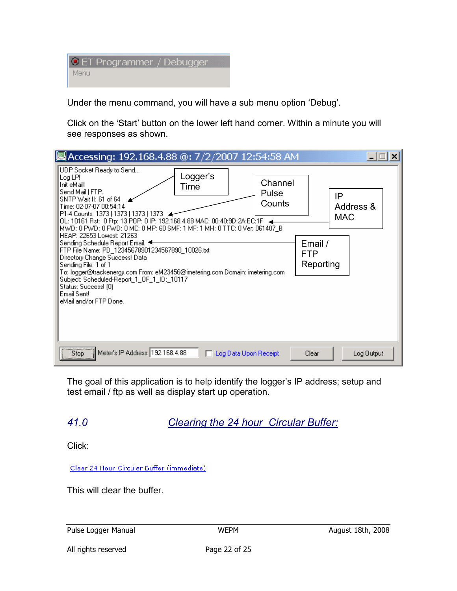| <b>ET Programmer / Debugger</b> |  |
|---------------------------------|--|
| Menu                            |  |

Under the menu command, you will have a sub menu option 'Debug'.

Click on the 'Start' button on the lower left hand corner. Within a minute you will see responses as shown.

| Accessing: 192.168.4.88 @: 7/2/2007 12:54:58 AM                                                                                                                                                                                                                                                                                                                                                                                                                                                                                                                                                                                                                                                                                                               |                                          |                         |  |
|---------------------------------------------------------------------------------------------------------------------------------------------------------------------------------------------------------------------------------------------------------------------------------------------------------------------------------------------------------------------------------------------------------------------------------------------------------------------------------------------------------------------------------------------------------------------------------------------------------------------------------------------------------------------------------------------------------------------------------------------------------------|------------------------------------------|-------------------------|--|
| UDP Socket Ready to Send<br>Logger's<br>Log LP!<br>Channel<br>Init eMail!<br>Time<br>Send Mail   FTP.<br>Pulse<br>SNTP Wait II: 61 of 64<br>Counts<br>Time: 02-07-07 00:54:14<br>P1-4 Counts: 1373   1373   1373   1373  <br>OL: 10161 Rst: 0 Ftp: 13 POP: 0 IP: 192.168.4.88 MAC: 00:40:9D:2A:EC:1F<br>MWD: 0 PWD: 0 FWD: 0 MC: 0 MP: 60 SMF: 1 MF: 1 MH: 0 TTC: 0 Ver: 061407 B<br>HEAP: 22653 Lowest: 21263<br>Sending Schedule Report Email.<br>FTP File Name: PD_12345678901234567890_10026.txt<br>Directory Change Success! Data<br>Sending File: 1 of 1<br>To: logger@trackenergy.com From: eM23456@imetering.com Domain: imetering.com<br>Subject: Scheduled-Report_1_0F_1_ID:_10117<br>Status: Success! [0]<br>Email Sent!<br>eMail and/or FTP Done. | IP<br>Email /<br><b>FTP</b><br>Reporting | Address &<br><b>MAC</b> |  |
| Meter's IP Address 192.168.4.88<br>Stop<br>□ Log Data Upon Receipt                                                                                                                                                                                                                                                                                                                                                                                                                                                                                                                                                                                                                                                                                            | Clear                                    | Log Output              |  |

The goal of this application is to help identify the logger's IP address; setup and test email / ftp as well as display start up operation.

# 41.0 Clearing the 24 hour Circular Buffer:

Click:

Clear 24 Hour Circular Buffer (immediate)

This will clear the buffer.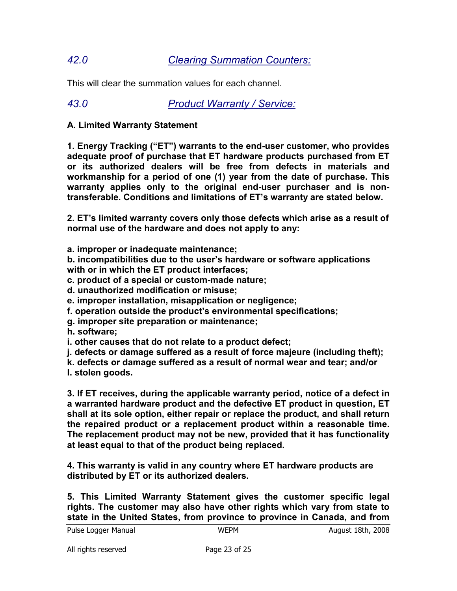## 42.0 Clearing Summation Counters:

This will clear the summation values for each channel.

43.0 Product Warranty / Service:

### A. Limited Warranty Statement

1. Energy Tracking ("ET") warrants to the end-user customer, who provides adequate proof of purchase that ET hardware products purchased from ET or its authorized dealers will be free from defects in materials and workmanship for a period of one (1) year from the date of purchase. This warranty applies only to the original end-user purchaser and is nontransferable. Conditions and limitations of ET's warranty are stated below.

2. ET's limited warranty covers only those defects which arise as a result of normal use of the hardware and does not apply to any:

a. improper or inadequate maintenance;

b. incompatibilities due to the user's hardware or software applications with or in which the ET product interfaces;

c. product of a special or custom-made nature;

d. unauthorized modification or misuse;

e. improper installation, misapplication or negligence;

f. operation outside the product's environmental specifications;

g. improper site preparation or maintenance;

h. software;

i. other causes that do not relate to a product defect;

j. defects or damage suffered as a result of force majeure (including theft);

k. defects or damage suffered as a result of normal wear and tear; and/or

l. stolen goods.

3. If ET receives, during the applicable warranty period, notice of a defect in a warranted hardware product and the defective ET product in question, ET shall at its sole option, either repair or replace the product, and shall return the repaired product or a replacement product within a reasonable time. The replacement product may not be new, provided that it has functionality at least equal to that of the product being replaced.

4. This warranty is valid in any country where ET hardware products are distributed by ET or its authorized dealers.

5. This Limited Warranty Statement gives the customer specific legal rights. The customer may also have other rights which vary from state to state in the United States, from province to province in Canada, and from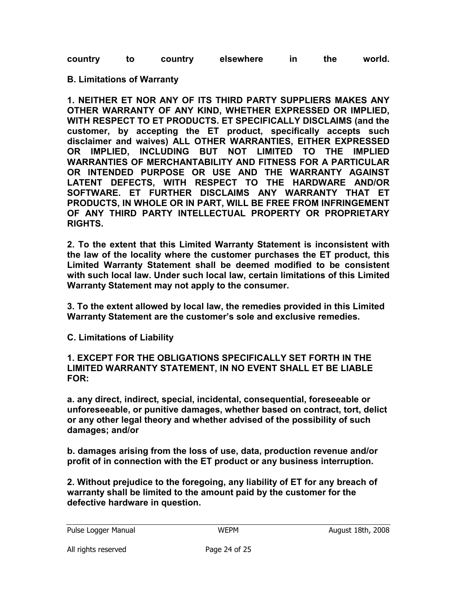|  | country |  | country | elsewhere |  | the | world. |
|--|---------|--|---------|-----------|--|-----|--------|
|--|---------|--|---------|-----------|--|-----|--------|

#### B. Limitations of Warranty

1. NEITHER ET NOR ANY OF ITS THIRD PARTY SUPPLIERS MAKES ANY OTHER WARRANTY OF ANY KIND, WHETHER EXPRESSED OR IMPLIED, WITH RESPECT TO ET PRODUCTS. ET SPECIFICALLY DISCLAIMS (and the customer, by accepting the ET product, specifically accepts such disclaimer and waives) ALL OTHER WARRANTIES, EITHER EXPRESSED OR IMPLIED, INCLUDING BUT NOT LIMITED TO THE IMPLIED WARRANTIES OF MERCHANTABILITY AND FITNESS FOR A PARTICULAR OR INTENDED PURPOSE OR USE AND THE WARRANTY AGAINST LATENT DEFECTS, WITH RESPECT TO THE HARDWARE AND/OR SOFTWARE. ET FURTHER DISCLAIMS ANY WARRANTY THAT ET PRODUCTS, IN WHOLE OR IN PART, WILL BE FREE FROM INFRINGEMENT OF ANY THIRD PARTY INTELLECTUAL PROPERTY OR PROPRIETARY RIGHTS.

2. To the extent that this Limited Warranty Statement is inconsistent with the law of the locality where the customer purchases the ET product, this Limited Warranty Statement shall be deemed modified to be consistent with such local law. Under such local law, certain limitations of this Limited Warranty Statement may not apply to the consumer.

3. To the extent allowed by local law, the remedies provided in this Limited Warranty Statement are the customer's sole and exclusive remedies.

C. Limitations of Liability

1. EXCEPT FOR THE OBLIGATIONS SPECIFICALLY SET FORTH IN THE LIMITED WARRANTY STATEMENT, IN NO EVENT SHALL ET BE LIABLE FOR:

a. any direct, indirect, special, incidental, consequential, foreseeable or unforeseeable, or punitive damages, whether based on contract, tort, delict or any other legal theory and whether advised of the possibility of such damages; and/or

b. damages arising from the loss of use, data, production revenue and/or profit of in connection with the ET product or any business interruption.

2. Without prejudice to the foregoing, any liability of ET for any breach of warranty shall be limited to the amount paid by the customer for the defective hardware in question.